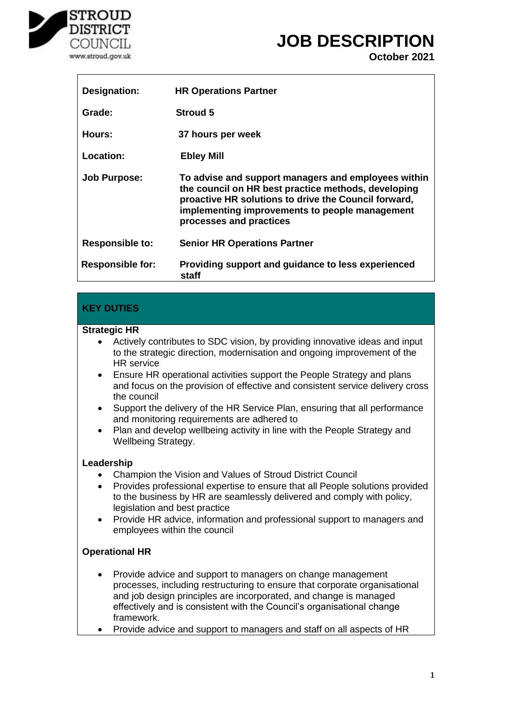

r

## **JOB DESCRIPTION**

**October 2021**

| Designation:            | <b>HR Operations Partner</b>                                                                                                                                                                                                                    |
|-------------------------|-------------------------------------------------------------------------------------------------------------------------------------------------------------------------------------------------------------------------------------------------|
| Grade:                  | <b>Stroud 5</b>                                                                                                                                                                                                                                 |
| Hours:                  | 37 hours per week                                                                                                                                                                                                                               |
| Location:               | <b>Ebley Mill</b>                                                                                                                                                                                                                               |
| <b>Job Purpose:</b>     | To advise and support managers and employees within<br>the council on HR best practice methods, developing<br>proactive HR solutions to drive the Council forward,<br>implementing improvements to people management<br>processes and practices |
| <b>Responsible to:</b>  | <b>Senior HR Operations Partner</b>                                                                                                                                                                                                             |
| <b>Responsible for:</b> | Providing support and guidance to less experienced<br>staff                                                                                                                                                                                     |

## **KEY DUTIES**

#### **Strategic HR**

- Actively contributes to SDC vision, by providing innovative ideas and input to the strategic direction, modernisation and ongoing improvement of the HR service
- Ensure HR operational activities support the People Strategy and plans and focus on the provision of effective and consistent service delivery cross the council
- Support the delivery of the HR Service Plan, ensuring that all performance and monitoring requirements are adhered to
- Plan and develop wellbeing activity in line with the People Strategy and Wellbeing Strategy.

### **Leadership**

- Champion the Vision and Values of Stroud District Council
- Provides professional expertise to ensure that all People solutions provided to the business by HR are seamlessly delivered and comply with policy, legislation and best practice
- Provide HR advice, information and professional support to managers and employees within the council

### **Operational HR**

- Provide advice and support to managers on change management processes, including restructuring to ensure that corporate organisational and job design principles are incorporated, and change is managed effectively and is consistent with the Council's organisational change framework.
- Provide advice and support to managers and staff on all aspects of HR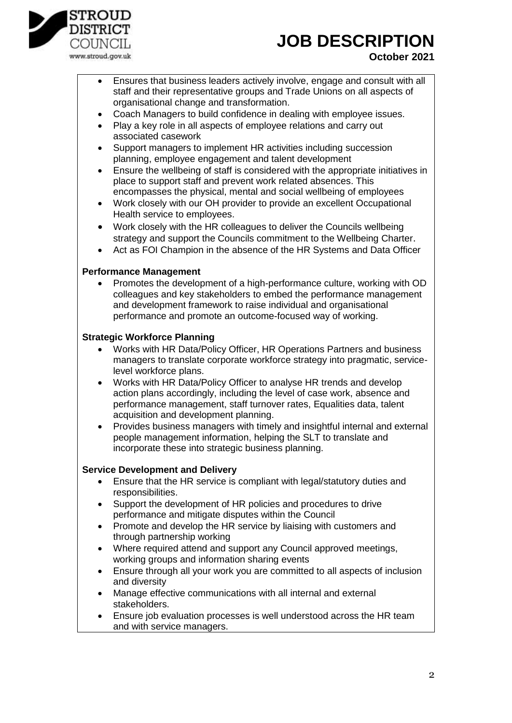

# **JOB DESCRIPTION**

## **October 2021**

- Ensures that business leaders actively involve, engage and consult with all staff and their representative groups and Trade Unions on all aspects of organisational change and transformation.
- Coach Managers to build confidence in dealing with employee issues.
- Play a key role in all aspects of employee relations and carry out associated casework
- Support managers to implement HR activities including succession planning, employee engagement and talent development
- Ensure the wellbeing of staff is considered with the appropriate initiatives in place to support staff and prevent work related absences. This encompasses the physical, mental and social wellbeing of employees
- Work closely with our OH provider to provide an excellent Occupational Health service to employees.
- Work closely with the HR colleagues to deliver the Councils wellbeing strategy and support the Councils commitment to the Wellbeing Charter.
- Act as FOI Champion in the absence of the HR Systems and Data Officer

#### **Performance Management**

 Promotes the development of a high-performance culture, working with OD colleagues and key stakeholders to embed the performance management and development framework to raise individual and organisational performance and promote an outcome-focused way of working.

#### **Strategic Workforce Planning**

- Works with HR Data/Policy Officer, HR Operations Partners and business managers to translate corporate workforce strategy into pragmatic, servicelevel workforce plans.
- Works with HR Data/Policy Officer to analyse HR trends and develop action plans accordingly, including the level of case work, absence and performance management, staff turnover rates, Equalities data, talent acquisition and development planning.
- Provides business managers with timely and insightful internal and external people management information, helping the SLT to translate and incorporate these into strategic business planning.

### **Service Development and Delivery**

- Ensure that the HR service is compliant with legal/statutory duties and responsibilities.
- Support the development of HR policies and procedures to drive performance and mitigate disputes within the Council
- Promote and develop the HR service by liaising with customers and through partnership working
- Where required attend and support any Council approved meetings, working groups and information sharing events
- Ensure through all your work you are committed to all aspects of inclusion and diversity
- Manage effective communications with all internal and external stakeholders.
- Ensure job evaluation processes is well understood across the HR team and with service managers.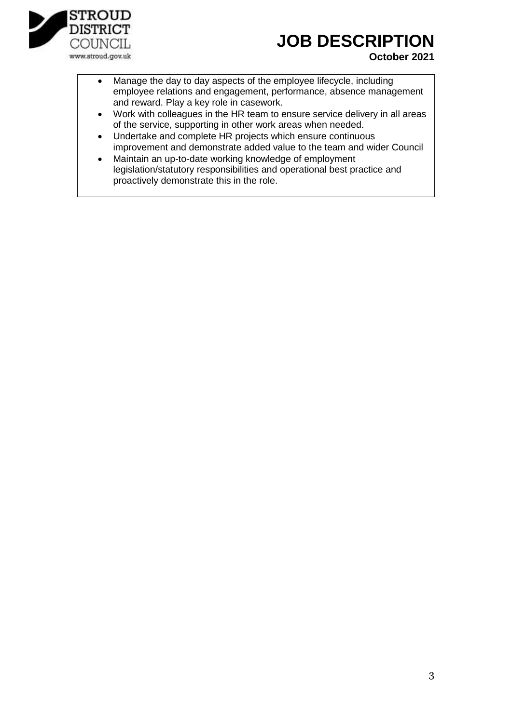

# **JOB DESCRIPTION**

## **October 2021**

- Manage the day to day aspects of the employee lifecycle, including employee relations and engagement, performance, absence management and reward. Play a key role in casework.
- Work with colleagues in the HR team to ensure service delivery in all areas of the service, supporting in other work areas when needed.
- Undertake and complete HR projects which ensure continuous improvement and demonstrate added value to the team and wider Council
- Maintain an up-to-date working knowledge of employment legislation/statutory responsibilities and operational best practice and proactively demonstrate this in the role.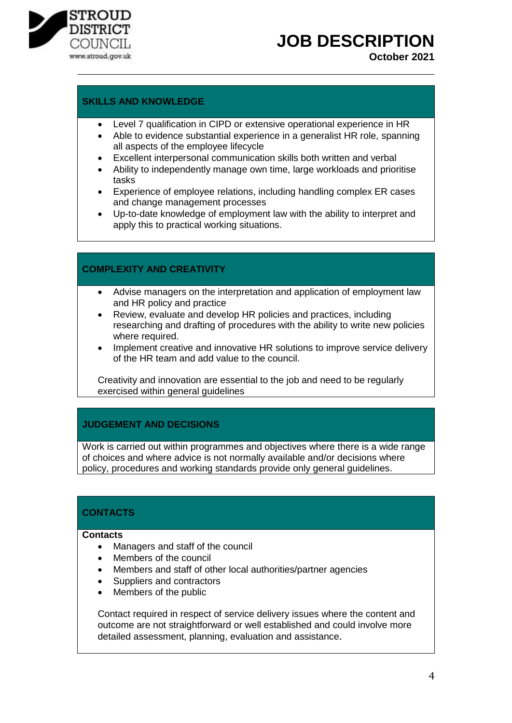

# **JOB DESCRIPTION**

**October 2021**

## **SKILLS AND KNOWLEDGE**

- Level 7 qualification in CIPD or extensive operational experience in HR
- Able to evidence substantial experience in a generalist HR role, spanning all aspects of the employee lifecycle
- Excellent interpersonal communication skills both written and verbal
- Ability to independently manage own time, large workloads and prioritise tasks
- Experience of employee relations, including handling complex ER cases and change management processes
- Up-to-date knowledge of employment law with the ability to interpret and apply this to practical working situations.

## **COMPLEXITY AND CREATIVITY**

- Advise managers on the interpretation and application of employment law and HR policy and practice
- Review, evaluate and develop HR policies and practices, including researching and drafting of procedures with the ability to write new policies where required.
- Implement creative and innovative HR solutions to improve service delivery of the HR team and add value to the council.

Creativity and innovation are essential to the job and need to be regularly exercised within general guidelines

### **JUDGEMENT AND DECISIONS**

Work is carried out within programmes and objectives where there is a wide range of choices and where advice is not normally available and/or decisions where policy, procedures and working standards provide only general guidelines.

## **CONTACTS**

#### **Contacts**

- Managers and staff of the council
- Members of the council
- Members and staff of other local authorities/partner agencies
- Suppliers and contractors
- Members of the public

Contact required in respect of service delivery issues where the content and outcome are not straightforward or well established and could involve more detailed assessment, planning, evaluation and assistance.